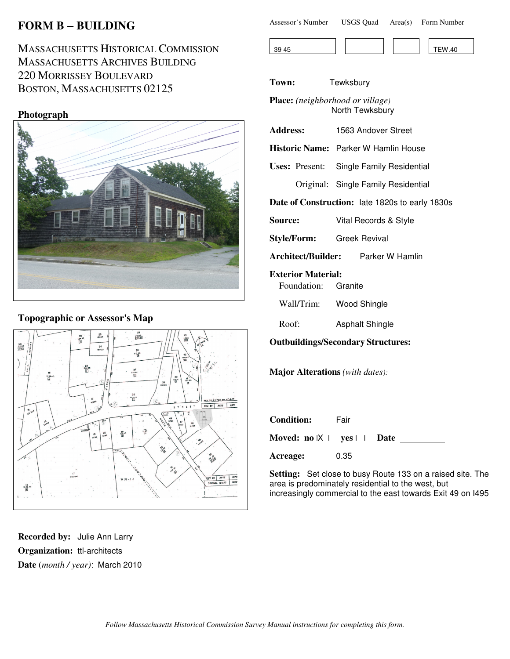# **FORM B** − **BUILDING**

MASSACHUSETTS HISTORICAL COMMISSION MASSACHUSETTS ARCHIVES BUILDING 220 MORRISSEY BOULEVARD BOSTON, MASSACHUSETTS 02125

#### **Photograph**



## **Topographic or Assessor's Map**



**Recorded by:** Julie Ann Larry **Organization:** ttl-architects **Date** (*month / year)*: March 2010

| Assessor's Number | <b>USGS Quad</b> | Area(s) | Form Number |
|-------------------|------------------|---------|-------------|
|                   |                  |         |             |

| 39 45 |  |  | <b>TEW.40</b> |
|-------|--|--|---------------|

**Town:** Tewksbury

**Place:** *(neighborhood or village)* North Tewksbury

**Address:** 1563 Andover Street

**Historic Name:** Parker W Hamlin House

**Uses:** Present: Single Family Residential Original: Single Family Residential

**Date of Construction:** late 1820s to early 1830s

- **Source:** Vital Records & Style
- **Style/Form:** Greek Revival

**Architect/Builder:** Parker W Hamlin

#### **Exterior Material:**

Foundation: Granite

Wall/Trim: Wood Shingle

Roof: Asphalt Shingle

#### **Outbuildings/Secondary Structures:**

**Major Alterations** *(with dates):*

| Condition:                      | Fair |  |
|---------------------------------|------|--|
| Moved: $no \,  X $ yes     Date |      |  |
| Acreage:                        | 0.35 |  |

**Setting:** Set close to busy Route 133 on a raised site. The area is predominately residential to the west, but increasingly commercial to the east towards Exit 49 on I495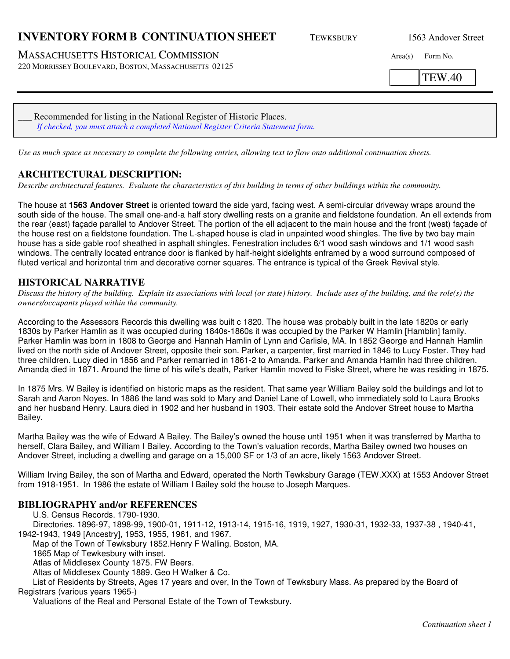## **INVENTORY FORM B CONTINUATION SHEET** TEWKSBURY 1563 Andover Street

MASSACHUSETTS HISTORICAL COMMISSION Area(s) Form No.

220 MORRISSEY BOULEVARD, BOSTON, MASSACHUSETTS 02125

TEW.40

Recommended for listing in the National Register of Historic Places. *If checked, you must attach a completed National Register Criteria Statement form.*

*Use as much space as necessary to complete the following entries, allowing text to flow onto additional continuation sheets.* 

## **ARCHITECTURAL DESCRIPTION:**

*Describe architectural features. Evaluate the characteristics of this building in terms of other buildings within the community.*

The house at **1563 Andover Street** is oriented toward the side yard, facing west. A semi-circular driveway wraps around the south side of the house. The small one-and-a half story dwelling rests on a granite and fieldstone foundation. An ell extends from the rear (east) façade parallel to Andover Street. The portion of the ell adjacent to the main house and the front (west) façade of the house rest on a fieldstone foundation. The L-shaped house is clad in unpainted wood shingles. The five by two bay main house has a side gable roof sheathed in asphalt shingles. Fenestration includes 6/1 wood sash windows and 1/1 wood sash windows. The centrally located entrance door is flanked by half-height sidelights enframed by a wood surround composed of fluted vertical and horizontal trim and decorative corner squares. The entrance is typical of the Greek Revival style.

## **HISTORICAL NARRATIVE**

*Discuss the history of the building. Explain its associations with local (or state) history. Include uses of the building, and the role(s) the owners/occupants played within the community.*

According to the Assessors Records this dwelling was built c 1820. The house was probably built in the late 1820s or early 1830s by Parker Hamlin as it was occupied during 1840s-1860s it was occupied by the Parker W Hamlin [Hamblin] family. Parker Hamlin was born in 1808 to George and Hannah Hamlin of Lynn and Carlisle, MA. In 1852 George and Hannah Hamlin lived on the north side of Andover Street, opposite their son. Parker, a carpenter, first married in 1846 to Lucy Foster. They had three children. Lucy died in 1856 and Parker remarried in 1861-2 to Amanda. Parker and Amanda Hamlin had three children. Amanda died in 1871. Around the time of his wife's death, Parker Hamlin moved to Fiske Street, where he was residing in 1875.

In 1875 Mrs. W Bailey is identified on historic maps as the resident. That same year William Bailey sold the buildings and lot to Sarah and Aaron Noyes. In 1886 the land was sold to Mary and Daniel Lane of Lowell, who immediately sold to Laura Brooks and her husband Henry. Laura died in 1902 and her husband in 1903. Their estate sold the Andover Street house to Martha Bailey.

Martha Bailey was the wife of Edward A Bailey. The Bailey's owned the house until 1951 when it was transferred by Martha to herself, Clara Bailey, and William I Bailey. According to the Town's valuation records, Martha Bailey owned two houses on Andover Street, including a dwelling and garage on a 15,000 SF or 1/3 of an acre, likely 1563 Andover Street.

William Irving Bailey, the son of Martha and Edward, operated the North Tewksbury Garage (TEW.XXX) at 1553 Andover Street from 1918-1951. In 1986 the estate of William I Bailey sold the house to Joseph Marques.

#### **BIBLIOGRAPHY and/or REFERENCES**

U.S. Census Records. 1790-1930.

Directories. 1896-97, 1898-99, 1900-01, 1911-12, 1913-14, 1915-16, 1919, 1927, 1930-31, 1932-33, 1937-38 , 1940-41, 1942-1943, 1949 [Ancestry], 1953, 1955, 1961, and 1967.

Map of the Town of Tewksbury 1852.Henry F Walling. Boston, MA.

1865 Map of Tewkesbury with inset.

Atlas of Middlesex County 1875. FW Beers.

Altas of Middlesex County 1889. Geo H Walker & Co.

List of Residents by Streets, Ages 17 years and over, In the Town of Tewksbury Mass. As prepared by the Board of Registrars (various years 1965-)

Valuations of the Real and Personal Estate of the Town of Tewksbury.